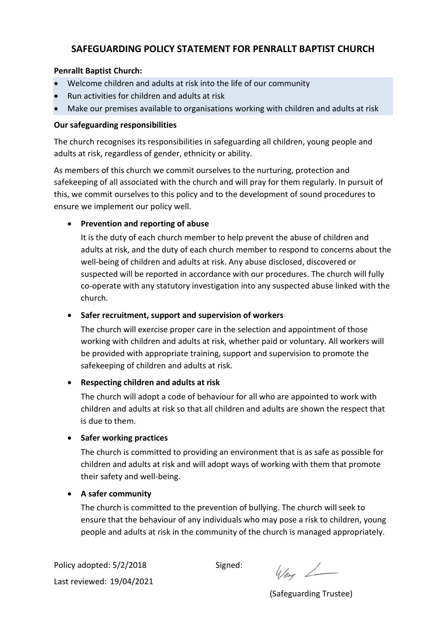# **SAFEGUARDING POLICY STATEMENT FOR PENRALLT BAPTIST CHURCH**

### **Penrallt Baptist Church:**

- Welcome children and adults at risk into the life of our community
- Run activities for children and adults at risk
- Make our premises available to organisations working with children and adults at risk

### **Our safeguarding responsibilities**

The church recognises its responsibilities in safeguarding all children, young people and adults at risk, regardless of gender, ethnicity or ability.

As members of this church we commit ourselves to the nurturing, protection and safekeeping of all associated with the church and will pray for them regularly. In pursuit of this, we commit ourselves to this policy and to the development of sound procedures to ensure we implement our policy well.

## • **Prevention and reporting of abuse**

It is the duty of each church member to help prevent the abuse of children and adults at risk, and the duty of each church member to respond to concerns about the well-being of children and adults at risk. Any abuse disclosed, discovered or suspected will be reported in accordance with our procedures. The church will fully co-operate with any statutory investigation into any suspected abuse linked with the church.

#### • **Safer recruitment, support and supervision of workers**

The church will exercise proper care in the selection and appointment of those working with children and adults at risk, whether paid or voluntary. All workers will be provided with appropriate training, support and supervision to promote the safekeeping of children and adults at risk.

# • **Respecting children and adults at risk**

The church will adopt a code of behaviour for all who are appointed to work with children and adults at risk so that all children and adults are shown the respect that is due to them.

# • **Safer working practices**

The church is committed to providing an environment that is as safe as possible for children and adults at risk and will adopt ways of working with them that promote their safety and well-being.

# • **A safer community**

The church is committed to the prevention of bullying. The church will seek to ensure that the behaviour of any individuals who may pose a risk to children, young people and adults at risk in the community of the church is managed appropriately.

Policy adopted: 5/2/2018 Signed: Last reviewed: 19/04/2021

 $4/27$ 

(Safeguarding Trustee)